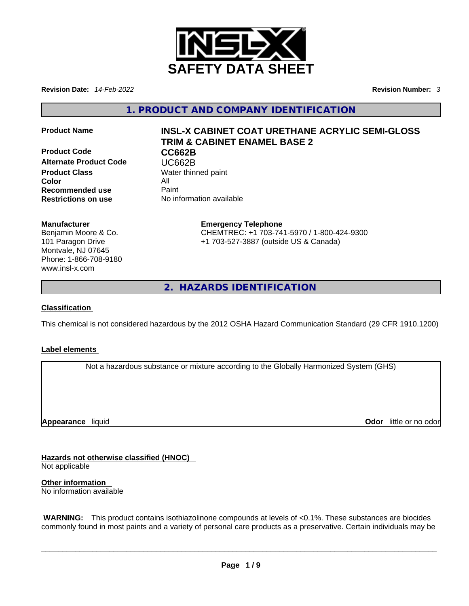

**Revision Date:** *14-Feb-2022* **Revision Number:** *3*

**1. PRODUCT AND COMPANY IDENTIFICATION** 

**Product Code CC662B Alternate Product Code CODE VERGES**<br> **Product Class** Water thing **Color** All **Recommended use** Paint<br> **Restrictions on use** No inf

# **Product Name INSL-X CABINET COAT URETHANE ACRYLIC SEMI-GLOSS TRIM & CABINET ENAMEL BASE 2**

**Water thinned paint Restrictions on use** No information available

#### **Manufacturer**

Benjamin Moore & Co. 101 Paragon Drive Montvale, NJ 07645 Phone: 1-866-708-9180 www.insl-x.com

#### **Emergency Telephone** CHEMTREC: +1 703-741-5970 / 1-800-424-9300 +1 703-527-3887 (outside US & Canada)

**2. HAZARDS IDENTIFICATION** 

### **Classification**

This chemical is not considered hazardous by the 2012 OSHA Hazard Communication Standard (29 CFR 1910.1200)

#### **Label elements**

Not a hazardous substance or mixture according to the Globally Harmonized System (GHS)

**Appearance** liquid

**Odor** little or no odor

**Hazards not otherwise classified (HNOC)**  Not applicable

**Other information**  No information available

 **WARNING:** This product contains isothiazolinone compounds at levels of <0.1%. These substances are biocides commonly found in most paints and a variety of personal care products as a preservative. Certain individuals may be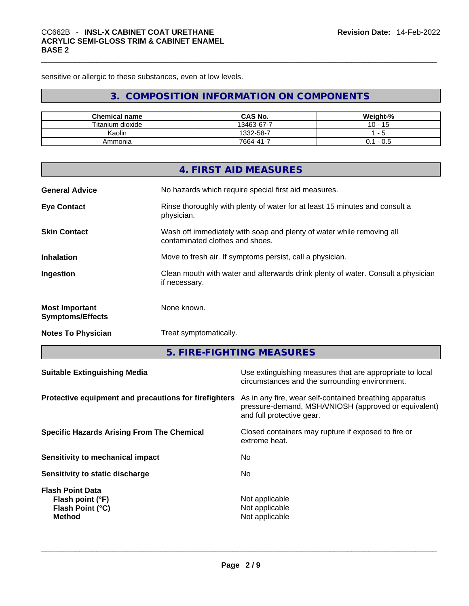sensitive or allergic to these substances, even at low levels.

# **3. COMPOSITION INFORMATION ON COMPONENTS**

| <b>Chemical name</b> | <b>CAS No.</b> | Weight-% |
|----------------------|----------------|----------|
| Titanium dioxide     | 13463-67-7     | 10<br>15 |
| Kaolin               | 1332-58-7      | - 7      |
| Ammonia              | 7664-41-7      | - 0.5    |

|                                                  | 4. FIRST AID MEASURES                                                                                    |
|--------------------------------------------------|----------------------------------------------------------------------------------------------------------|
| <b>General Advice</b>                            | No hazards which require special first aid measures.                                                     |
| <b>Eye Contact</b>                               | Rinse thoroughly with plenty of water for at least 15 minutes and consult a<br>physician.                |
| <b>Skin Contact</b>                              | Wash off immediately with soap and plenty of water while removing all<br>contaminated clothes and shoes. |
| <b>Inhalation</b>                                | Move to fresh air. If symptoms persist, call a physician.                                                |
| Ingestion                                        | Clean mouth with water and afterwards drink plenty of water. Consult a physician<br>if necessary.        |
| <b>Most Important</b><br><b>Symptoms/Effects</b> | None known.                                                                                              |
| <b>Notes To Physician</b>                        | Treat symptomatically.                                                                                   |

**5. FIRE-FIGHTING MEASURES** 

| <b>Suitable Extinguishing Media</b>                                              | Use extinguishing measures that are appropriate to local<br>circumstances and the surrounding environment.                                   |
|----------------------------------------------------------------------------------|----------------------------------------------------------------------------------------------------------------------------------------------|
| Protective equipment and precautions for firefighters                            | As in any fire, wear self-contained breathing apparatus<br>pressure-demand, MSHA/NIOSH (approved or equivalent)<br>and full protective gear. |
| <b>Specific Hazards Arising From The Chemical</b>                                | Closed containers may rupture if exposed to fire or<br>extreme heat.                                                                         |
| Sensitivity to mechanical impact                                                 | No.                                                                                                                                          |
| Sensitivity to static discharge                                                  | No.                                                                                                                                          |
| <b>Flash Point Data</b><br>Flash point (°F)<br>Flash Point (°C)<br><b>Method</b> | Not applicable<br>Not applicable<br>Not applicable                                                                                           |
|                                                                                  |                                                                                                                                              |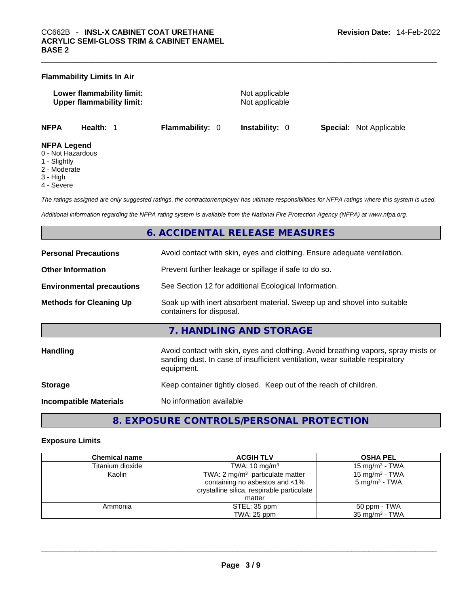|                    | <b>Flammability Limits In Air</b>                             |                        |                                  |                                |  |
|--------------------|---------------------------------------------------------------|------------------------|----------------------------------|--------------------------------|--|
|                    | Lower flammability limit:<br><b>Upper flammability limit:</b> |                        | Not applicable<br>Not applicable |                                |  |
| <b>NFPA</b>        | Health: 1                                                     | <b>Flammability: 0</b> | <b>Instability: 0</b>            | <b>Special:</b> Not Applicable |  |
| <b>NFPA Legend</b> |                                                               |                        |                                  |                                |  |

- 0 Not Hazardous
- 1 Slightly
- 2 Moderate
- 3 High
- 4 Severe

*The ratings assigned are only suggested ratings, the contractor/employer has ultimate responsibilities for NFPA ratings where this system is used.* 

*Additional information regarding the NFPA rating system is available from the National Fire Protection Agency (NFPA) at www.nfpa.org.* 

#### **6. ACCIDENTAL RELEASE MEASURES**

| <b>Personal Precautions</b>      | Avoid contact with skin, eyes and clothing. Ensure adequate ventilation.                                                                                                         |
|----------------------------------|----------------------------------------------------------------------------------------------------------------------------------------------------------------------------------|
| <b>Other Information</b>         | Prevent further leakage or spillage if safe to do so.                                                                                                                            |
| <b>Environmental precautions</b> | See Section 12 for additional Ecological Information.                                                                                                                            |
| <b>Methods for Cleaning Up</b>   | Soak up with inert absorbent material. Sweep up and shovel into suitable<br>containers for disposal.                                                                             |
|                                  | 7. HANDLING AND STORAGE                                                                                                                                                          |
|                                  |                                                                                                                                                                                  |
| Handling                         | Avoid contact with skin, eyes and clothing. Avoid breathing vapors, spray mists or<br>sanding dust. In case of insufficient ventilation, wear suitable respiratory<br>equipment. |
| <b>Storage</b>                   | Keep container tightly closed. Keep out of the reach of children.                                                                                                                |

# **8. EXPOSURE CONTROLS/PERSONAL PROTECTION**

#### **Exposure Limits**

| <b>Chemical name</b> | <b>ACGIH TLV</b>                           | <b>OSHA PEL</b>            |
|----------------------|--------------------------------------------|----------------------------|
| Titanium dioxide     | TWA: $10 \text{ mg/m}^3$                   | 15 mg/m $3$ - TWA          |
| Kaolin               | TWA: $2 \text{ mg/m}^3$ particulate matter | 15 mg/m <sup>3</sup> - TWA |
|                      | containing no asbestos and <1%             | $5 \text{ mg/m}^3$ - TWA   |
|                      | crystalline silica, respirable particulate |                            |
|                      | matter                                     |                            |
| Ammonia              | STEL: 35 ppm                               | 50 ppm - TWA               |
|                      | TWA: 25 ppm                                | $35 \text{ mg/m}^3$ - TWA  |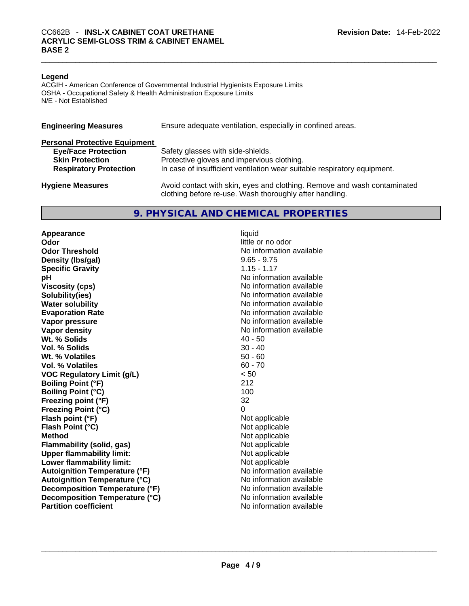#### **Legend**

ACGIH - American Conference of Governmental Industrial Hygienists Exposure Limits OSHA - Occupational Safety & Health Administration Exposure Limits N/E - Not Established

| <b>Engineering Measures</b>          | Ensure adequate ventilation, especially in confined areas.                                                                          |
|--------------------------------------|-------------------------------------------------------------------------------------------------------------------------------------|
| <b>Personal Protective Equipment</b> |                                                                                                                                     |
| <b>Eye/Face Protection</b>           | Safety glasses with side-shields.                                                                                                   |
| <b>Skin Protection</b>               | Protective gloves and impervious clothing.                                                                                          |
| <b>Respiratory Protection</b>        | In case of insufficient ventilation wear suitable respiratory equipment.                                                            |
| <b>Hygiene Measures</b>              | Avoid contact with skin, eyes and clothing. Remove and wash contaminated<br>clothing before re-use. Wash thoroughly after handling. |

#### **9. PHYSICAL AND CHEMICAL PROPERTIES**

**Appearance** liquid **Odor Odor little or no odor little or no odor Odor Threshold** No information available **Density (lbs/gal)** 9.65 - 9.75 **Specific Gravity** 1.15 - 1.17 **pH pH No** information available **Viscosity (cps) Viscosity (cps) No information available Solubility(ies)** No information available in the solution of the solution of the solution available in the solution of the solution of the solution of the solution of the solution of the solution of the solution of the so **Water solubility No information available No information available Evaporation Rate No information available No information available Vapor pressure**  No information available **Vapor pressure No information available Vapor density No information available No information available Wt. % Solids** 40 - 50 **Vol. % Solids** 30 - 40 **Wt. % Volatiles** 50 - 60 **Vol. % Volatiles** 60 - 70 **VOC Regulatory Limit (g/L)** < 50 **Boiling Point (°F)** 212 **Boiling Point**  $(^{\circ}C)$  100 **Freezing point (°F)** 32 **Freezing Point (°C)** 0 **Flash point (°F)** Not applicable **Flash Point (°C)** Not applicable **Method** Not applicable **Flammability (solid, gas)** Not applicable **Upper flammability limit:** Not applicable **Lower flammability limit:** Not applicable **Autoignition Temperature (°F)**<br> **Autoignition Temperature (°C)** No information available **Autoignition Temperature (°C) Decomposition Temperature (°F)** No information available **Decomposition Temperature (°C)**<br> **Partition coefficient**<br> **Partition coefficient**<br> **No** information available **Partition coefficient**No information available \_\_\_\_\_\_\_\_\_\_\_\_\_\_\_\_\_\_\_\_\_\_\_\_\_\_\_\_\_\_\_\_\_\_\_\_\_\_\_\_\_\_\_\_\_\_\_\_\_\_\_\_\_\_\_\_\_\_\_\_\_\_\_\_\_\_\_\_\_\_\_\_\_\_\_\_\_\_\_\_\_\_\_\_\_\_\_\_\_\_\_\_\_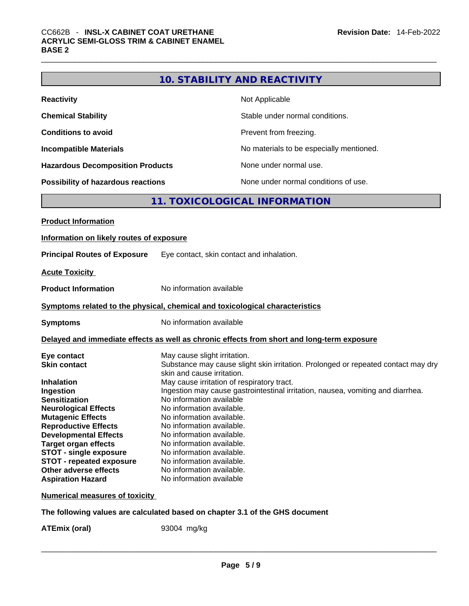## **10. STABILITY AND REACTIVITY**

| <b>Reactivity</b>                       | Not Applicable                           |
|-----------------------------------------|------------------------------------------|
| <b>Chemical Stability</b>               | Stable under normal conditions.          |
| <b>Conditions to avoid</b>              | Prevent from freezing.                   |
| <b>Incompatible Materials</b>           | No materials to be especially mentioned. |
| <b>Hazardous Decomposition Products</b> | None under normal use.                   |
| Possibility of hazardous reactions      | None under normal conditions of use.     |

# **11. TOXICOLOGICAL INFORMATION**

| <b>Product Information</b>               |                                                                                                                 |
|------------------------------------------|-----------------------------------------------------------------------------------------------------------------|
| Information on likely routes of exposure |                                                                                                                 |
| <b>Principal Routes of Exposure</b>      | Eye contact, skin contact and inhalation.                                                                       |
| <b>Acute Toxicity</b>                    |                                                                                                                 |
| <b>Product Information</b>               | No information available                                                                                        |
|                                          | Symptoms related to the physical, chemical and toxicological characteristics                                    |
| <b>Symptoms</b>                          | No information available                                                                                        |
|                                          | Delayed and immediate effects as well as chronic effects from short and long-term exposure                      |
| Eye contact                              | May cause slight irritation.                                                                                    |
| <b>Skin contact</b>                      | Substance may cause slight skin irritation. Prolonged or repeated contact may dry<br>skin and cause irritation. |
| <b>Inhalation</b>                        | May cause irritation of respiratory tract.                                                                      |
| Ingestion                                | Ingestion may cause gastrointestinal irritation, nausea, vomiting and diarrhea.                                 |
| <b>Sensitization</b>                     | No information available                                                                                        |
| <b>Neurological Effects</b>              | No information available.                                                                                       |
| <b>Mutagenic Effects</b>                 | No information available.                                                                                       |
| <b>Reproductive Effects</b>              | No information available.                                                                                       |
| <b>Developmental Effects</b>             | No information available.                                                                                       |
| <b>Target organ effects</b>              | No information available.                                                                                       |
| <b>STOT - single exposure</b>            | No information available.                                                                                       |
| <b>STOT - repeated exposure</b>          | No information available.                                                                                       |
| Other adverse effects                    | No information available.                                                                                       |
| <b>Aspiration Hazard</b>                 | No information available                                                                                        |
|                                          |                                                                                                                 |

#### **Numerical measures of toxicity**

#### **The following values are calculated based on chapter 3.1 of the GHS document**

**ATEmix (oral)** 93004 mg/kg \_\_\_\_\_\_\_\_\_\_\_\_\_\_\_\_\_\_\_\_\_\_\_\_\_\_\_\_\_\_\_\_\_\_\_\_\_\_\_\_\_\_\_\_\_\_\_\_\_\_\_\_\_\_\_\_\_\_\_\_\_\_\_\_\_\_\_\_\_\_\_\_\_\_\_\_\_\_\_\_\_\_\_\_\_\_\_\_\_\_\_\_\_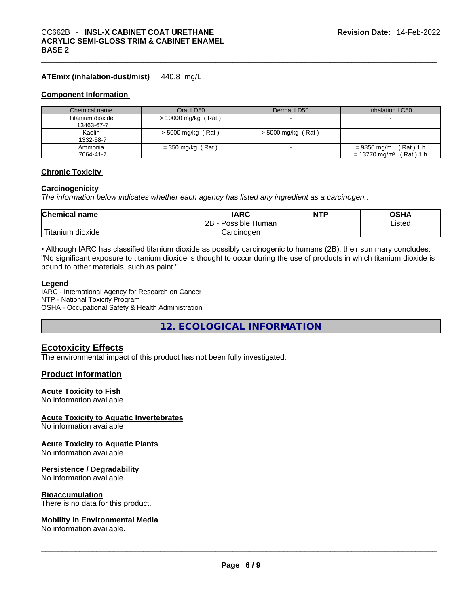#### **ATEmix (inhalation-dust/mist)** 440.8 mg/L

#### **Component Information**

| Chemical name    | Oral LD50             | Dermal LD50        | Inhalation LC50                       |
|------------------|-----------------------|--------------------|---------------------------------------|
| Titanium dioxide | $> 10000$ mg/kg (Rat) |                    |                                       |
| 13463-67-7       |                       |                    |                                       |
| Kaolin           | > 5000 mg/kg (Rat)    | > 5000 mg/kg (Rat) |                                       |
| 1332-58-7        |                       |                    |                                       |
| Ammonia          | $=$ 350 mg/kg (Rat)   |                    | $= 9850$ mg/m <sup>3</sup> (Rat) 1 h  |
| 7664-41-7        |                       |                    | $= 13770$ mg/m <sup>3</sup> (Rat) 1 h |

#### **Chronic Toxicity**

#### **Carcinogenicity**

*The information below indicates whether each agency has listed any ingredient as a carcinogen:.* 

| <b>Chemical name</b>         | IARC                 | <b>NTP</b> | OSHA   |
|------------------------------|----------------------|------------|--------|
|                              | 2B<br>Possible Human |            | ∟isted |
| $-1$<br>i itanıum<br>dioxide | Carcinogen           |            |        |

• Although IARC has classified titanium dioxide as possibly carcinogenic to humans (2B), their summary concludes: "No significant exposure to titanium dioxide is thought to occur during the use of products in which titanium dioxide is bound to other materials, such as paint."

#### **Legend**

IARC - International Agency for Research on Cancer NTP - National Toxicity Program OSHA - Occupational Safety & Health Administration

**12. ECOLOGICAL INFORMATION** 

#### **Ecotoxicity Effects**

The environmental impact of this product has not been fully investigated.

#### **Product Information**

#### **Acute Toxicity to Fish**

No information available

#### **Acute Toxicity to Aquatic Invertebrates**

No information available

#### **Acute Toxicity to Aquatic Plants**

No information available

#### **Persistence / Degradability**

No information available.

**Bioaccumulation**<br>There is no data for this product.

# There is no data for this product. \_\_\_\_\_\_\_\_\_\_\_\_\_\_\_\_\_\_\_\_\_\_\_\_\_\_\_\_\_\_\_\_\_\_\_\_\_\_\_\_\_\_\_\_\_\_\_\_\_\_\_\_\_\_\_\_\_\_\_\_\_\_\_\_\_\_\_\_\_\_\_\_\_\_\_\_\_\_\_\_\_\_\_\_\_\_\_\_\_\_\_\_\_ **Mobility in Environmental Media**

No information available.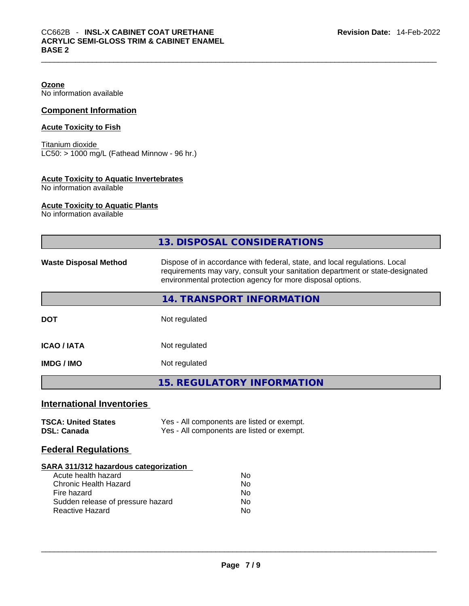**Ozone**

No information available

#### **Component Information**

#### **Acute Toxicity to Fish**

Titanium dioxide LC50: > 1000 mg/L (Fathead Minnow - 96 hr.)

#### **Acute Toxicity to Aquatic Invertebrates**

No information available

#### **Acute Toxicity to Aquatic Plants**

No information available

|                                                                                                                                                                            | <b>13. DISPOSAL CONSIDERATIONS</b>                                                                                                                                                                                        |
|----------------------------------------------------------------------------------------------------------------------------------------------------------------------------|---------------------------------------------------------------------------------------------------------------------------------------------------------------------------------------------------------------------------|
| <b>Waste Disposal Method</b>                                                                                                                                               | Dispose of in accordance with federal, state, and local regulations. Local<br>requirements may vary, consult your sanitation department or state-designated<br>environmental protection agency for more disposal options. |
|                                                                                                                                                                            | 14. TRANSPORT INFORMATION                                                                                                                                                                                                 |
| <b>DOT</b>                                                                                                                                                                 | Not regulated                                                                                                                                                                                                             |
| <b>ICAO / IATA</b>                                                                                                                                                         | Not regulated                                                                                                                                                                                                             |
| <b>IMDG / IMO</b>                                                                                                                                                          | Not regulated                                                                                                                                                                                                             |
|                                                                                                                                                                            | <b>15. REGULATORY INFORMATION</b>                                                                                                                                                                                         |
| <b>International Inventories</b>                                                                                                                                           |                                                                                                                                                                                                                           |
| <b>TSCA: United States</b><br><b>DSL: Canada</b>                                                                                                                           | Yes - All components are listed or exempt.<br>Yes - All components are listed or exempt.                                                                                                                                  |
| <b>Federal Regulations</b>                                                                                                                                                 |                                                                                                                                                                                                                           |
| SARA 311/312 hazardous categorization<br>Acute health hazard<br><b>Chronic Health Hazard</b><br>Fire hazard<br>Sudden release of pressure hazard<br><b>Reactive Hazard</b> | No<br><b>No</b><br>No<br>No<br><b>No</b>                                                                                                                                                                                  |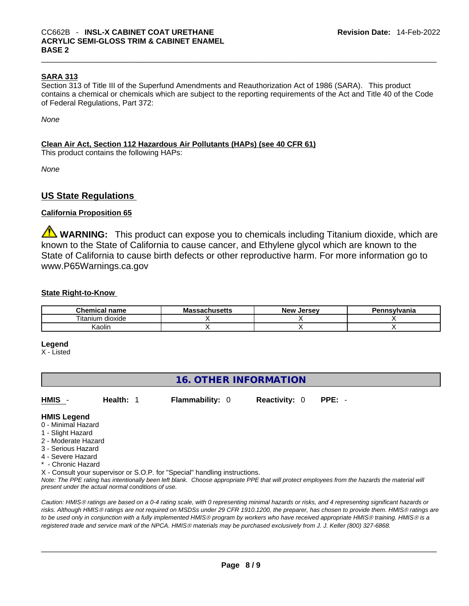#### **SARA 313**

Section 313 of Title III of the Superfund Amendments and Reauthorization Act of 1986 (SARA). This product contains a chemical or chemicals which are subject to the reporting requirements of the Act and Title 40 of the Code of Federal Regulations, Part 372:

*None*

#### **Clean Air Act,Section 112 Hazardous Air Pollutants (HAPs) (see 40 CFR 61)**

This product contains the following HAPs:

*None*

#### **US State Regulations**

#### **California Proposition 65**

**WARNING:** This product can expose you to chemicals including Titanium dioxide, which are known to the State of California to cause cancer, and Ethylene glycol which are known to the State of California to cause birth defects or other reproductive harm. For more information go to www.P65Warnings.ca.gov

#### **State Right-to-Know**

| name<br>Chemical                    | rhucatto<br>Mas<br>นเนจะแจ<br>57 J | New<br>Jersev | `nsylvania |
|-------------------------------------|------------------------------------|---------------|------------|
| <br>$- \cdot$<br>dioxide<br>itanium |                                    |               |            |
| .<br>(aolin                         |                                    |               |            |

#### **Legend**

X - Listed

#### **16. OTHER INFORMATION**

**HMIS** - **Health:** 1 **Flammability:** 0 **Reactivity:** 0 **PPE:** -

#### **HMIS Legend**

- 0 Minimal Hazard
- 1 Slight Hazard
- 2 Moderate Hazard
- 3 Serious Hazard
- 4 Severe Hazard
- \* Chronic Hazard

X - Consult your supervisor or S.O.P. for "Special" handling instructions.

Note: The PPE rating has intentionally been left blank. Choose appropriate PPE that will protect employees from the hazards the material will *present under the actual normal conditions of use.* 

*Caution: HMISÒ ratings are based on a 0-4 rating scale, with 0 representing minimal hazards or risks, and 4 representing significant hazards or risks. Although HMISÒ ratings are not required on MSDSs under 29 CFR 1910.1200, the preparer, has chosen to provide them. HMISÒ ratings are to be used only in conjunction with a fully implemented HMISÒ program by workers who have received appropriate HMISÒ training. HMISÒ is a registered trade and service mark of the NPCA. HMISÒ materials may be purchased exclusively from J. J. Keller (800) 327-6868.*